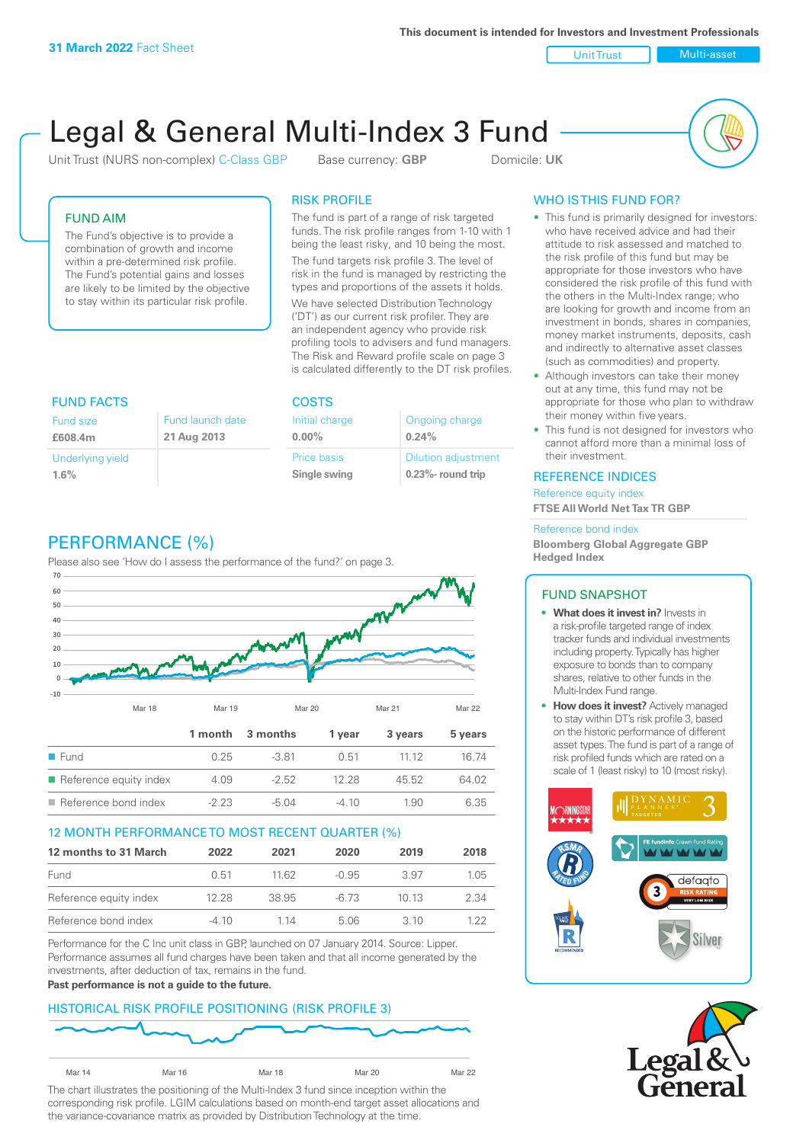**This document is intended for Investors and Investment Professionals**

Unit Trust Nulti-asset

# Legal & General Multi-Index 3 Fund

Unit Trust (NURS non-complex) C-Class GBP Base currency: **GBP** Domicile: UK



# FUND AIM

The Fund's objective is to provide a combination of growth and income within a pre-determined risk profile. The Fund's potential gains and losses are likely to be limited by the objective to stay within its particular risk profile.

#### RISK PROFILE

The fund is part of a range of risk targeted funds. The risk profile ranges from 1-10 with 1 being the least risky, and 10 being the most.

The fund targets risk profile 3. The level of risk in the fund is managed by restricting the types and proportions of the assets it holds. We have selected Distribution Technology ('DT') as our current risk profiler. They are an independent agency who provide risk profiling tools to advisers and fund managers. The Risk and Reward profile scale on page 3 is calculated differently to the DT risk profiles.

| <b>FUND FACTS</b> |                  | <b>COSTS</b>   |                            |  |
|-------------------|------------------|----------------|----------------------------|--|
| Fund size         | Fund launch date | Initial charge | Ongoing charge             |  |
| £608.4m           | 21 Aug 2013      | $0.00\%$       | 0.24%                      |  |
| Underlying yield  |                  | Price basis    | <b>Dilution adjustment</b> |  |
| 1.6%              |                  | Single swing   | $0.23\%$ - round trip      |  |

# PERFORMANCE (%)

Please also see 'How do I assess the performance of the fund?' on page 3.



## 12 MONTH PERFORMANCE TO MOST RECENT QUARTER (%)

| 12 months to 31 March  | 2022  | 2021  | 2020    | 2019  | 2018 |
|------------------------|-------|-------|---------|-------|------|
| Fund                   | 0.51  | 11.62 | $-0.95$ | 3.97  | 1.05 |
| Reference equity index | 12.28 | 38.95 | -6.73   | 10 13 | 2.34 |
| Reference bond index   | -4.10 | 1 14  | 5.06    | 3 10  | 1 22 |

Performance for the C Inc unit class in GBP, launched on 07 January 2014. Source: Lipper. Performance assumes all fund charges have been taken and that all income generated by the investments, after deduction of tax, remains in the fund.

#### **Past performance is not a guide to the future.**

## HISTORICAL RISK PROFILE POSITIONING (RISK PROFILE 3)



The chart illustrates the positioning of the Multi-Index 3 fund since inception within the corresponding risk profile. LGIM calculations based on month-end target asset allocations and the variance-covariance matrix as provided by Distribution Technology at the time.

# WHO IS THIS FUND FOR?

- This fund is primarily designed for investors: who have received advice and had their attitude to risk assessed and matched to the risk profile of this fund but may be appropriate for those investors who have considered the risk profile of this fund with the others in the Multi-Index range; who are looking for growth and income from an investment in bonds, shares in companies, money market instruments, deposits, cash and indirectly to alternative asset classes (such as commodities) and property.
- Although investors can take their money out at any time, this fund may not be appropriate for those who plan to withdraw their money within five years.
- This fund is not designed for investors who cannot afford more than a minimal loss of their investment.

#### REFERENCE INDICES

Reference equity index **FTSE All World Net Tax TR GBP**

#### Reference bond index

**Bloomberg Global Aggregate GBP Hedged Index**

## FUND SNAPSHOT

- **• What does it invest in?** Invests in a risk-profile targeted range of index tracker funds and individual investments including property. Typically has higher exposure to bonds than to company shares, relative to other funds in the Multi-Index Fund range.
- **• How does it invest?** Actively managed to stay within DT's risk profile 3, based on the historic performance of different asset types. The fund is part of a range of risk profiled funds which are rated on a scale of 1 (least risky) to 10 (most risky).



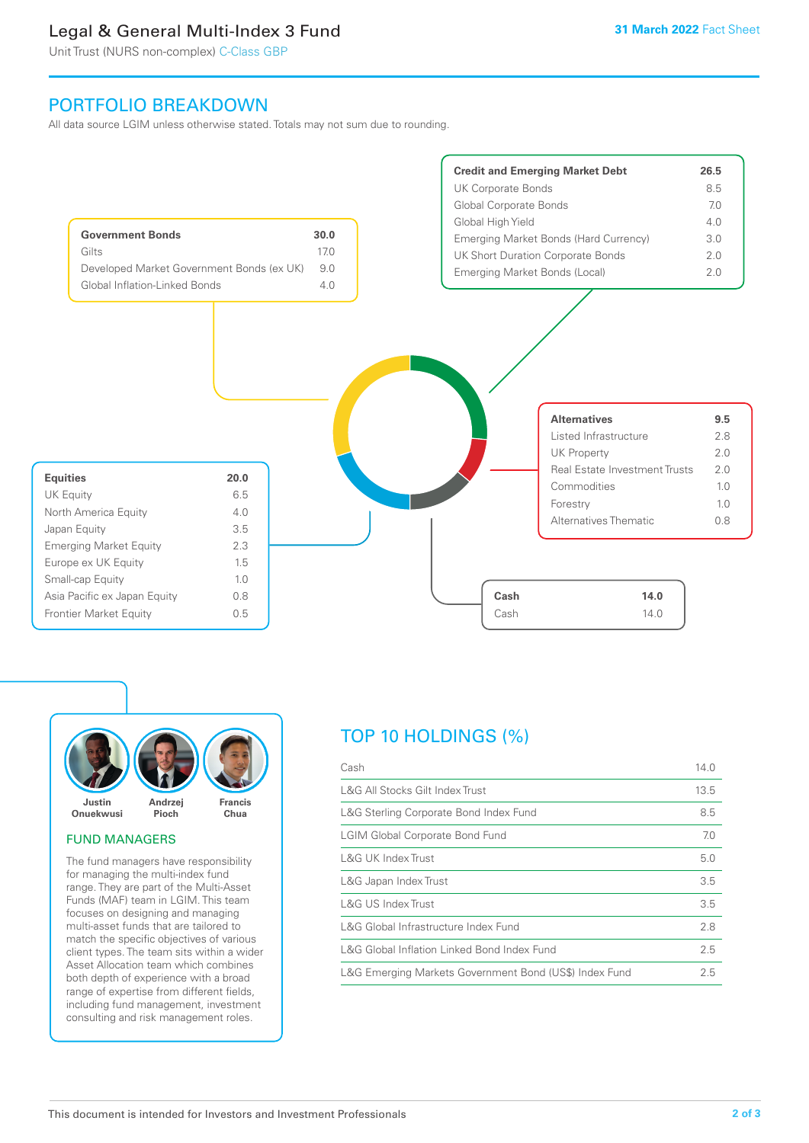# Legal & General Multi-Index 3 Fund

Unit Trust (NURS non-complex) C-Class GBP

# PORTFOLIO BREAKDOWN

All data source LGIM unless otherwise stated. Totals may not sum due to rounding.





#### FUND MANAGERS

The fund managers have responsibility for managing the multi-index fund range. They are part of the Multi-Asset Funds (MAF) team in LGIM. This team focuses on designing and managing multi-asset funds that are tailored to match the specific objectives of various client types. The team sits within a wider Asset Allocation team which combines both depth of experience with a broad range of expertise from different fields, including fund management, investment consulting and risk management roles.

# TOP 10 HOLDINGS (%)

| Cash                                                   | 14.0 |
|--------------------------------------------------------|------|
| L&G All Stocks Gilt Index Trust                        | 13.5 |
| L&G Sterling Corporate Bond Index Fund                 | 8.5  |
| <b>LGIM Global Corporate Bond Fund</b>                 | 7.0  |
| L&G UK Index Trust                                     | 5.0  |
| L&G Japan Index Trust                                  | 3.5  |
| L&G US Index Trust                                     | 3.5  |
| L&G Global Infrastructure Index Fund                   | 2.8  |
| L&G Global Inflation Linked Bond Index Fund            | 2.5  |
| L&G Emerging Markets Government Bond (US\$) Index Fund | 2.5  |